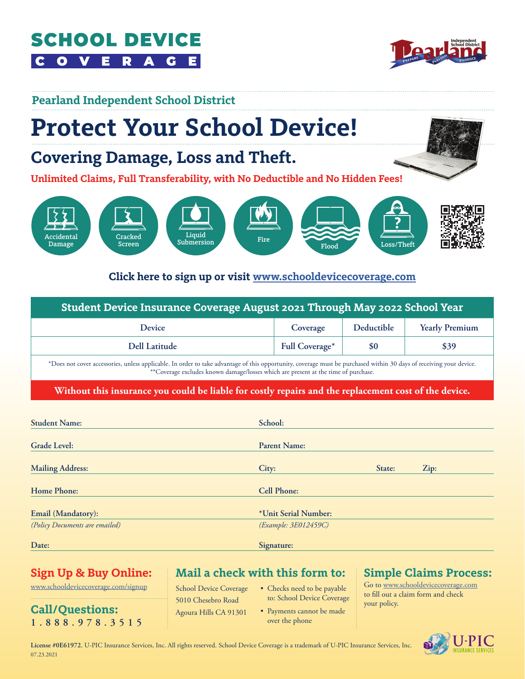#### **SCHOOL DEVICE**  $\bullet$  $\mathbf{c}$ G



### **Pearland Independent School District**

# **Protect Your School Device!**

## **Covering Damage, Loss and Theft.**

**Unlimited Claims, Full Transferability, with No Deductible and No Hidden Fees!**



#### **Click here to sign up or visit [www.schooldevicecoverage.com](http://www.schooldevicecoverage.com)**

| Student Device Insurance Coverage August 2021 Through May 2022 School Year                                                                                                                                                     |                       |            |                       |  |
|--------------------------------------------------------------------------------------------------------------------------------------------------------------------------------------------------------------------------------|-----------------------|------------|-----------------------|--|
| <b>Device</b>                                                                                                                                                                                                                  | Coverage              | Deductible | <b>Yearly Premium</b> |  |
| <b>Dell Latitude</b>                                                                                                                                                                                                           | <b>Full Coverage*</b> | \$0        | \$39                  |  |
| *Dereine eine einem under die beiter Erscheine eine dienere effikte die die der einer dem Erstenden der Anti-Gereinen der der der der eine der Erste der Erste der Erste der Erste der Erste der Erste der Erste der Erste der |                       |            |                       |  |

dvantage of this opportunity, coverage must be purchased and \*\*Coverage excludes known damage/losses which are present at the time of purchase.

**Without this insurance you could be liable for costly repairs and the replacement cost of the device.**

| <b>Student Name:</b>           | School:              |      |  |  |
|--------------------------------|----------------------|------|--|--|
| <b>Grade Level:</b>            | <b>Parent Name:</b>  |      |  |  |
| <b>Mailing Address:</b>        | State:<br>City:      | Zip: |  |  |
| <b>Home Phone:</b>             | <b>Cell Phone:</b>   |      |  |  |
| Email (Mandatory):             | *Unit Serial Number: |      |  |  |
| (Policy Documents are emailed) | (Example: 3E012459C) |      |  |  |
| Date:                          | Signature:           |      |  |  |

### **Sign Up & Buy Online:**

[www.schooldevicecoverage.com/signup](http://www.schooldevicecoverage.com/signup)

**Call/Questions: 1.888.978.3515** **Mail a check with this form to:**

School Device Coverage 5010 Chesebro Road Agoura Hills CA 91301

- Checks need to be payable to: School Device Coverage
- Payments cannot be made over the phone

#### **Simple Claims Process:**

Go to www.schooldevicecoverage.com to fill out a claim form and check your policy.

**License #0E61972.** U-PIC Insurance Services, Inc. All rights reserved. School Device Coverage is a trademark of U-PIC Insurance Services, Inc. 07.23.2021